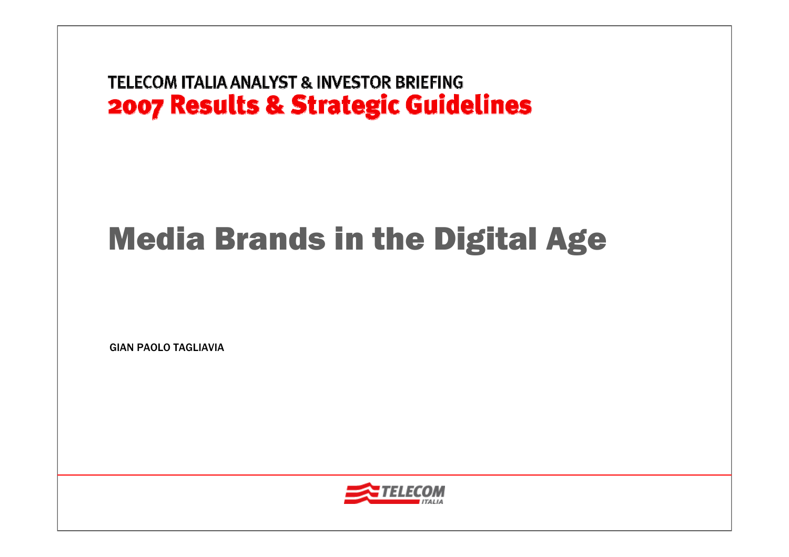# Media Brands in the Digital Age

GIAN PAOLO TAGLIAVIA

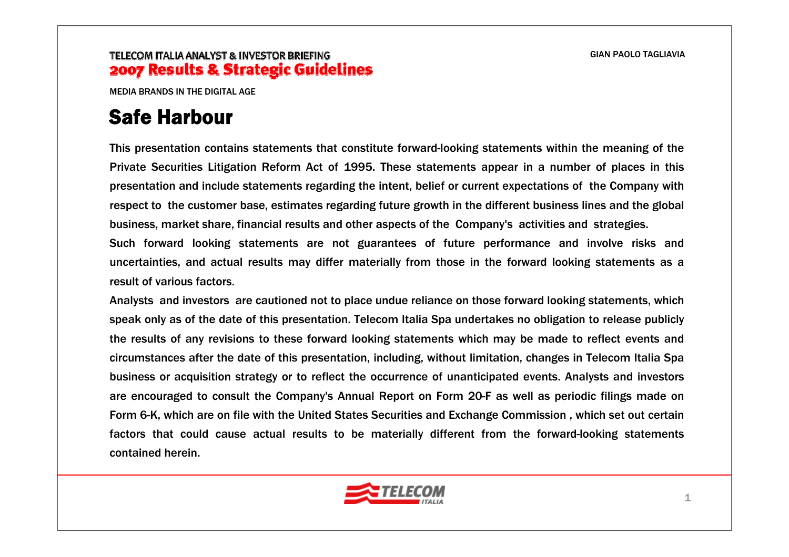MEDIA BRANDS IN THE DIGITAL AGE

# Safe Harbour

This presentation contains statements that constitute forward-looking statements within the meaning of the Private Securities Litigation Reform Act of 1995. These statements appear in a number of places in this presentation and include statements regarding the intent, belief or current expectations of the Company with respect to the customer base, estimates regarding future growth in the different business lines and the global business, market share, financial results and other aspects of the Company's activities and strategies.

Such forward looking statements are not guarantees of future performance and involve risks and uncertainties, and actual results may differ materially from those in the forward looking statements as a result of various factors.

Analysts and investors are cautioned not to place undue reliance on those forward looking statements, which speak only as of the date of this presentation. Telecom Italia Spa undertakes no obligation to release publicly the results of any revisions to these forward looking statements which may be made to reflect events and circumstances after the date of this presentation, including, without limitation, changes in Telecom Italia Spa business or acquisition strategy or to reflect the occurrence of unanticipated events. Analysts and investors are encouraged to consult the Company's Annual Report on Form 20-F as well as periodic filings made on Form 6-K, which are on file with the United States Securities and Exchange Commission , which set out certain factors that could cause actual results to be materially different from the forward-looking statements contained herein.

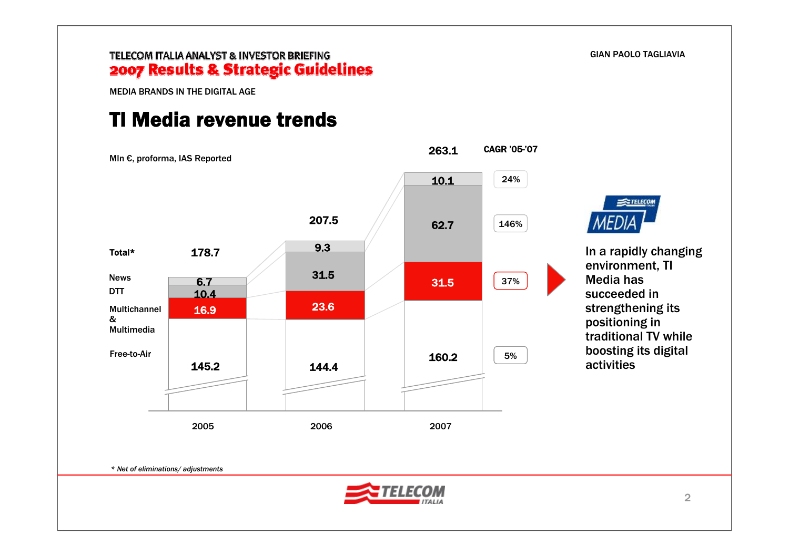GIAN PAOLO TAGLIAVIA

TELECOM

### TELECOM ITALIA ANALYST & INVESTOR BRIEFING 2007 Results & Strategic Guidelines

MEDIA BRANDS IN THE DIGITAL AGE

### TI Media revenue trends



*\* Net of eliminations/ adjustments*

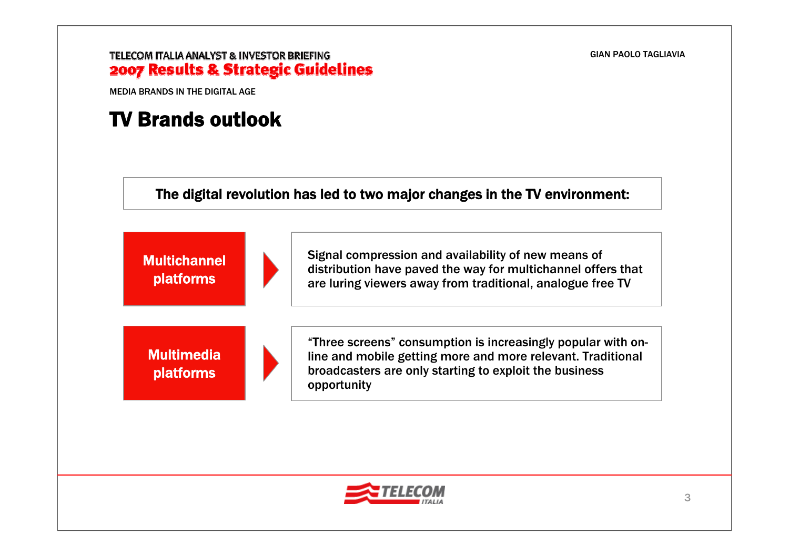#### GIAN PAOLO TAGLIAVIA

#### TELECOM ITALIA ANALYST & INVESTOR BRIEFING 2007 Results & Strategic Guidelines

MEDIA BRANDS IN THE DIGITAL AGE

### TV Brands outlook

The digital revolution has led to two major changes in the TV environment:



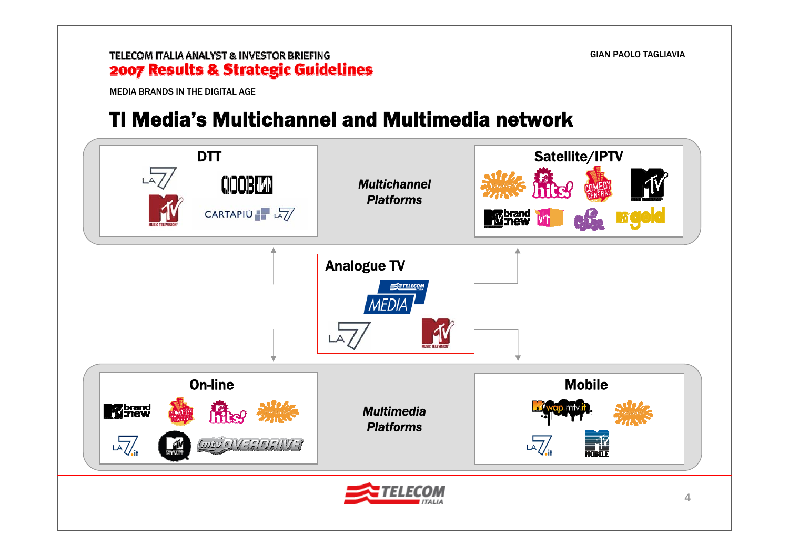MEDIA BRANDS IN THE DIGITAL AGE

### TI Media's Multichannel and Multimedia network

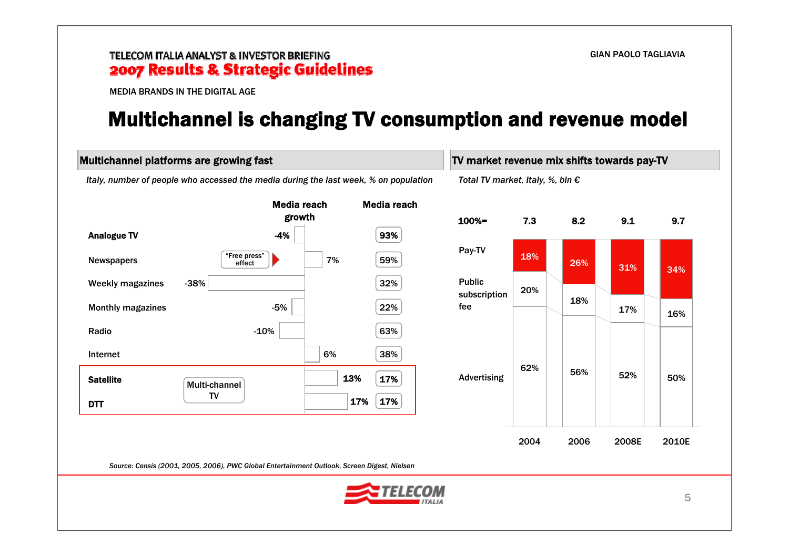MEDIA BRANDS IN THE DIGITAL AGE

### Multichannel is changing TV consumption and revenue model

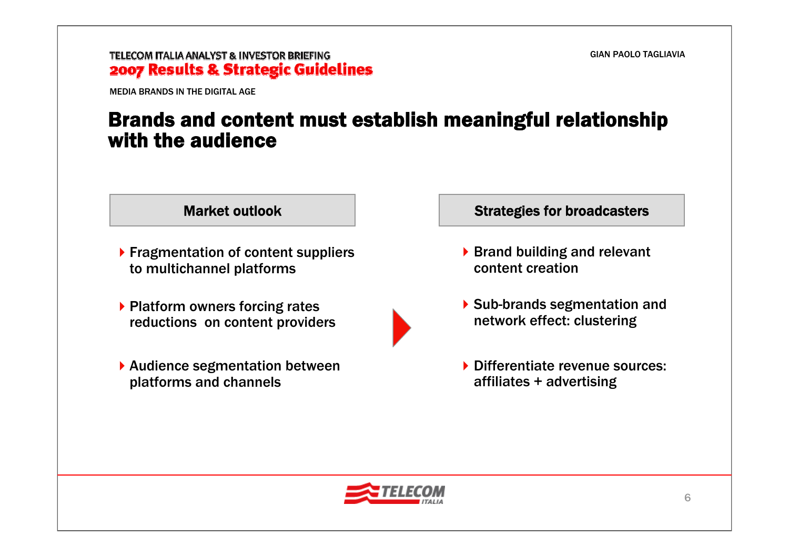MEDIA BRANDS IN THE DIGITAL AGE

### Brands and content must establish meaningful relationship with the audience



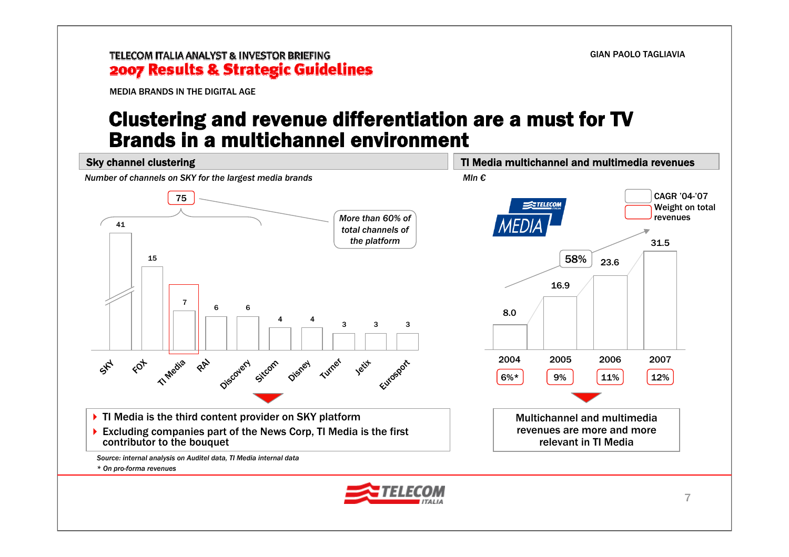MEDIA BRANDS IN THE DIGITAL AGE

### Clustering and revenue differentiation are a must for TV Brands in a multichannel environment

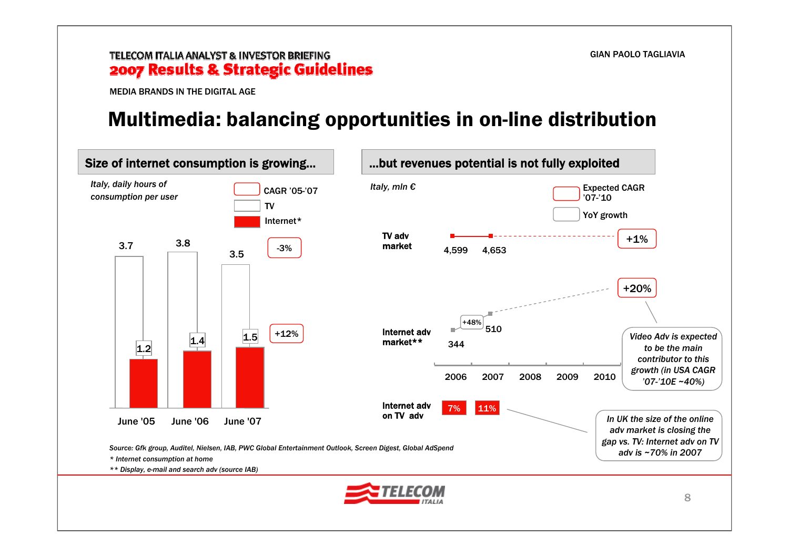MEDIA BRANDS IN THE DIGITAL AGE

### Multimedia: balancing opportunities in on-line distribution

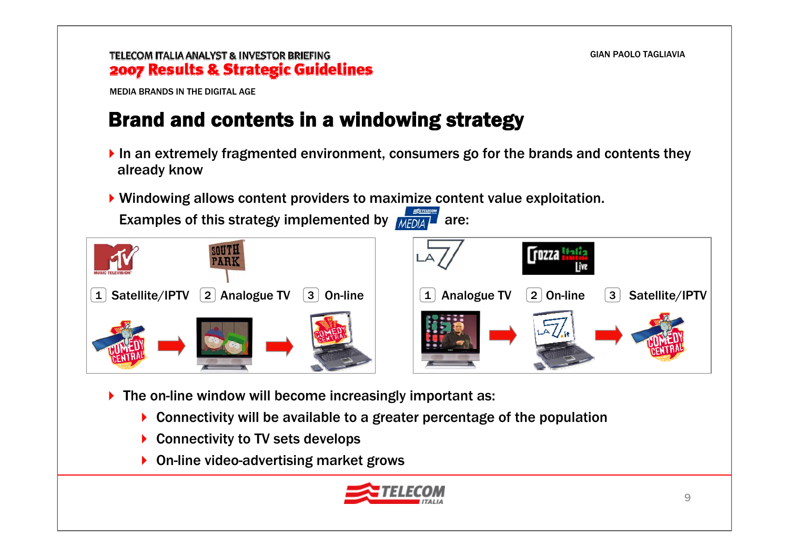MEDIA BRANDS IN THE DIGITAL AGE

# Brand and contents in a windowing strategy

- In an extremely fragmented environment, consumers go for the brands and contents they already know
- Windowing allows content providers to maximize content value exploitation.

Examples of this strategy implemented by  $MEDAA$  are:



- ▶ The on-line window will become increasingly important as:
	- ▶ Connectivity will be available to a greater percentage of the population
	- ▶ Connectivity to TV sets develops
	- ▶ On-line video-advertising market grows

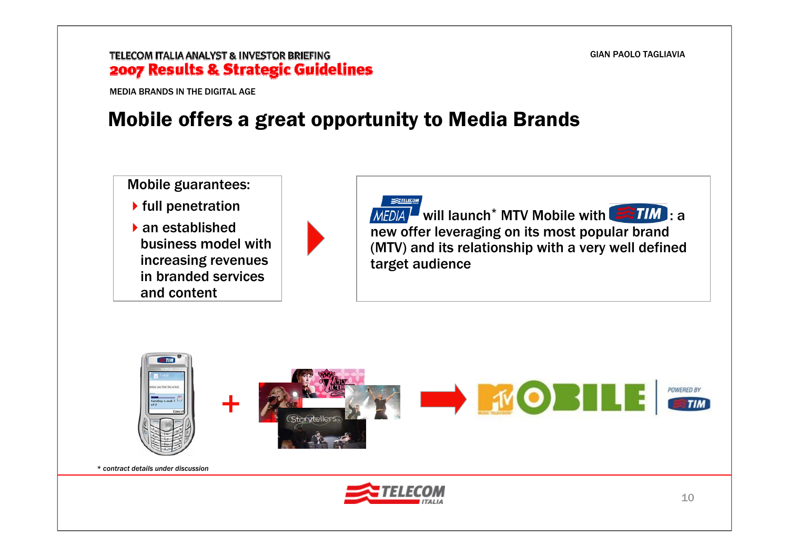#### GIAN PAOLO TAGLIAVIA

#### TELECOM ITALIA ANALYST & INVESTOR BRIEFING 2007 Results & Strategic Guidelines

MEDIA BRANDS IN THE DIGITAL AGE

### Mobile offers a great opportunity to Media Brands

Mobile guarantees:  $\blacktriangleright$  full penetration an established business model with

increasing revenues in branded services and content



 $T = TELCO$ will launch<sup>\*</sup> MTV Mobile with  $\blacktriangleright$  if  $M$  : a new offer leveraging on its most popular brand (MTV) and its relationship with a very well defined target audience